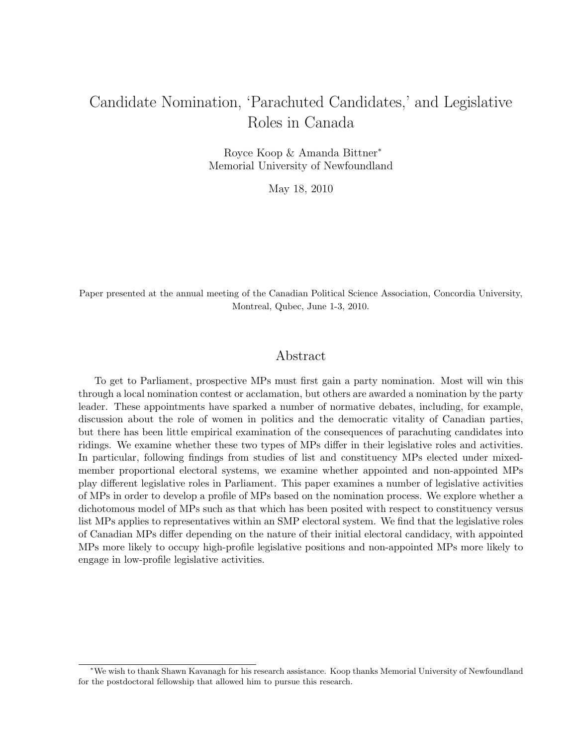# Candidate Nomination, 'Parachuted Candidates,' and Legislative Roles in Canada

Royce Koop & Amanda Bittner<sup>∗</sup> Memorial University of Newfoundland

May 18, 2010

Paper presented at the annual meeting of the Canadian Political Science Association, Concordia University, Montreal, Qubec, June 1-3, 2010.

### Abstract

To get to Parliament, prospective MPs must first gain a party nomination. Most will win this through a local nomination contest or acclamation, but others are awarded a nomination by the party leader. These appointments have sparked a number of normative debates, including, for example, discussion about the role of women in politics and the democratic vitality of Canadian parties, but there has been little empirical examination of the consequences of parachuting candidates into ridings. We examine whether these two types of MPs differ in their legislative roles and activities. In particular, following findings from studies of list and constituency MPs elected under mixedmember proportional electoral systems, we examine whether appointed and non-appointed MPs play different legislative roles in Parliament. This paper examines a number of legislative activities of MPs in order to develop a profile of MPs based on the nomination process. We explore whether a dichotomous model of MPs such as that which has been posited with respect to constituency versus list MPs applies to representatives within an SMP electoral system. We find that the legislative roles of Canadian MPs differ depending on the nature of their initial electoral candidacy, with appointed MPs more likely to occupy high-profile legislative positions and non-appointed MPs more likely to engage in low-profile legislative activities.

<sup>∗</sup>We wish to thank Shawn Kavanagh for his research assistance. Koop thanks Memorial University of Newfoundland for the postdoctoral fellowship that allowed him to pursue this research.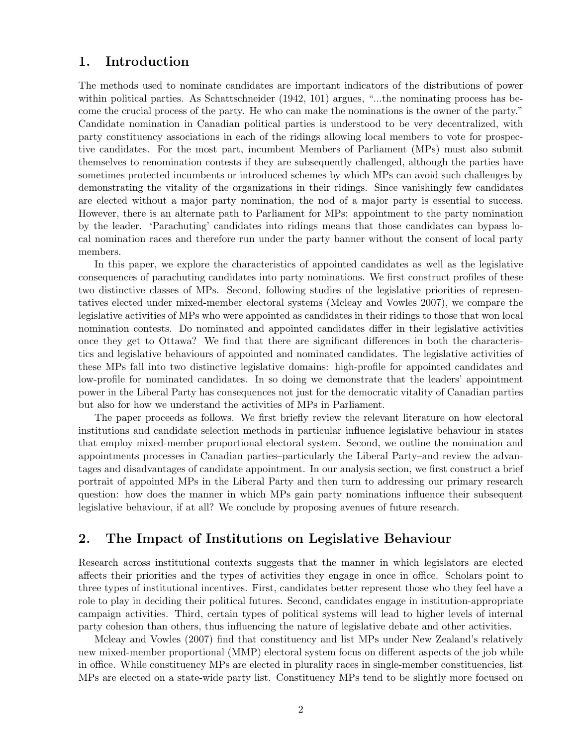## 1. Introduction

The methods used to nominate candidates are important indicators of the distributions of power within political parties. As Schattschneider (1942, 101) argues, "...the nominating process has become the crucial process of the party. He who can make the nominations is the owner of the party." Candidate nomination in Canadian political parties is understood to be very decentralized, with party constituency associations in each of the ridings allowing local members to vote for prospective candidates. For the most part, incumbent Members of Parliament (MPs) must also submit themselves to renomination contests if they are subsequently challenged, although the parties have sometimes protected incumbents or introduced schemes by which MPs can avoid such challenges by demonstrating the vitality of the organizations in their ridings. Since vanishingly few candidates are elected without a major party nomination, the nod of a major party is essential to success. However, there is an alternate path to Parliament for MPs: appointment to the party nomination by the leader. 'Parachuting' candidates into ridings means that those candidates can bypass local nomination races and therefore run under the party banner without the consent of local party members.

In this paper, we explore the characteristics of appointed candidates as well as the legislative consequences of parachuting candidates into party nominations. We first construct profiles of these two distinctive classes of MPs. Second, following studies of the legislative priorities of representatives elected under mixed-member electoral systems (Mcleay and Vowles 2007), we compare the legislative activities of MPs who were appointed as candidates in their ridings to those that won local nomination contests. Do nominated and appointed candidates differ in their legislative activities once they get to Ottawa? We find that there are significant differences in both the characteristics and legislative behaviours of appointed and nominated candidates. The legislative activities of these MPs fall into two distinctive legislative domains: high-profile for appointed candidates and low-profile for nominated candidates. In so doing we demonstrate that the leaders' appointment power in the Liberal Party has consequences not just for the democratic vitality of Canadian parties but also for how we understand the activities of MPs in Parliament.

The paper proceeds as follows. We first briefly review the relevant literature on how electoral institutions and candidate selection methods in particular influence legislative behaviour in states that employ mixed-member proportional electoral system. Second, we outline the nomination and appointments processes in Canadian parties–particularly the Liberal Party–and review the advantages and disadvantages of candidate appointment. In our analysis section, we first construct a brief portrait of appointed MPs in the Liberal Party and then turn to addressing our primary research question: how does the manner in which MPs gain party nominations influence their subsequent legislative behaviour, if at all? We conclude by proposing avenues of future research.

# 2. The Impact of Institutions on Legislative Behaviour

Research across institutional contexts suggests that the manner in which legislators are elected affects their priorities and the types of activities they engage in once in office. Scholars point to three types of institutional incentives. First, candidates better represent those who they feel have a role to play in deciding their political futures. Second, candidates engage in institution-appropriate campaign activities. Third, certain types of political systems will lead to higher levels of internal party cohesion than others, thus influencing the nature of legislative debate and other activities.

Mcleay and Vowles (2007) find that constituency and list MPs under New Zealand's relatively new mixed-member proportional (MMP) electoral system focus on different aspects of the job while in office. While constituency MPs are elected in plurality races in single-member constituencies, list MPs are elected on a state-wide party list. Constituency MPs tend to be slightly more focused on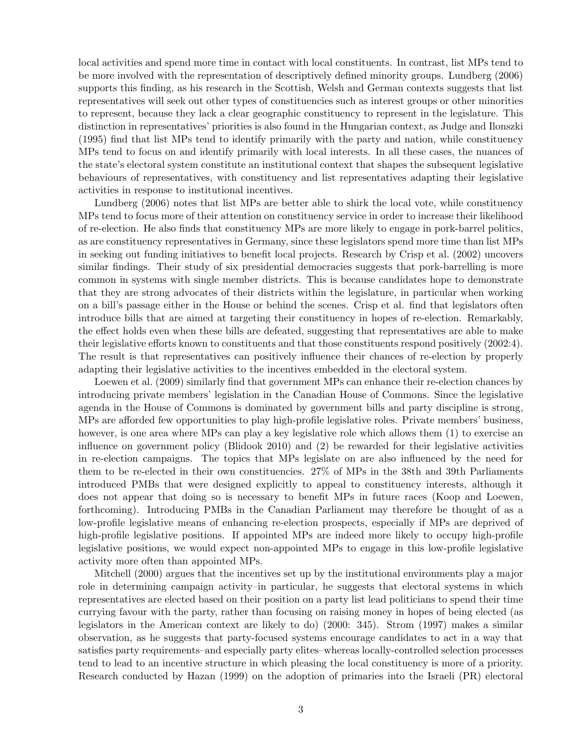local activities and spend more time in contact with local constituents. In contrast, list MPs tend to be more involved with the representation of descriptively defined minority groups. Lundberg (2006) supports this finding, as his research in the Scottish, Welsh and German contexts suggests that list representatives will seek out other types of constituencies such as interest groups or other minorities to represent, because they lack a clear geographic constituency to represent in the legislature. This distinction in representatives' priorities is also found in the Hungarian context, as Judge and Ilonszki (1995) find that list MPs tend to identify primarily with the party and nation, while constituency MPs tend to focus on and identify primarily with local interests. In all these cases, the nuances of the state's electoral system constitute an institutional context that shapes the subsequent legislative behaviours of representatives, with constituency and list representatives adapting their legislative activities in response to institutional incentives.

Lundberg (2006) notes that list MPs are better able to shirk the local vote, while constituency MPs tend to focus more of their attention on constituency service in order to increase their likelihood of re-election. He also finds that constituency MPs are more likely to engage in pork-barrel politics, as are constituency representatives in Germany, since these legislators spend more time than list MPs in seeking out funding initiatives to benefit local projects. Research by Crisp et al. (2002) uncovers similar findings. Their study of six presidential democracies suggests that pork-barrelling is more common in systems with single member districts. This is because candidates hope to demonstrate that they are strong advocates of their districts within the legislature, in particular when working on a bill's passage either in the House or behind the scenes. Crisp et al. find that legislators often introduce bills that are aimed at targeting their constituency in hopes of re-election. Remarkably, the effect holds even when these bills are defeated, suggesting that representatives are able to make their legislative efforts known to constituents and that those constituents respond positively (2002:4). The result is that representatives can positively influence their chances of re-election by properly adapting their legislative activities to the incentives embedded in the electoral system.

Loewen et al. (2009) similarly find that government MPs can enhance their re-election chances by introducing private members' legislation in the Canadian House of Commons. Since the legislative agenda in the House of Commons is dominated by government bills and party discipline is strong, MPs are afforded few opportunities to play high-profile legislative roles. Private members' business, however, is one area where MPs can play a key legislative role which allows them (1) to exercise an influence on government policy (Blidook 2010) and (2) be rewarded for their legislative activities in re-election campaigns. The topics that MPs legislate on are also influenced by the need for them to be re-elected in their own constituencies. 27% of MPs in the 38th and 39th Parliaments introduced PMBs that were designed explicitly to appeal to constituency interests, although it does not appear that doing so is necessary to benefit MPs in future races (Koop and Loewen, forthcoming). Introducing PMBs in the Canadian Parliament may therefore be thought of as a low-profile legislative means of enhancing re-election prospects, especially if MPs are deprived of high-profile legislative positions. If appointed MPs are indeed more likely to occupy high-profile legislative positions, we would expect non-appointed MPs to engage in this low-profile legislative activity more often than appointed MPs.

Mitchell (2000) argues that the incentives set up by the institutional environments play a major role in determining campaign activity–in particular, he suggests that electoral systems in which representatives are elected based on their position on a party list lead politicians to spend their time currying favour with the party, rather than focusing on raising money in hopes of being elected (as legislators in the American context are likely to do) (2000: 345). Strom (1997) makes a similar observation, as he suggests that party-focused systems encourage candidates to act in a way that satisfies party requirements–and especially party elites–whereas locally-controlled selection processes tend to lead to an incentive structure in which pleasing the local constituency is more of a priority. Research conducted by Hazan (1999) on the adoption of primaries into the Israeli (PR) electoral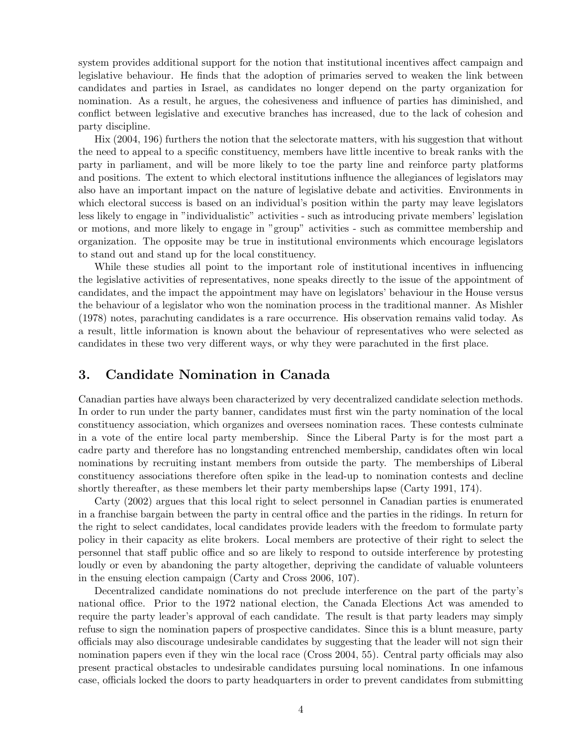system provides additional support for the notion that institutional incentives affect campaign and legislative behaviour. He finds that the adoption of primaries served to weaken the link between candidates and parties in Israel, as candidates no longer depend on the party organization for nomination. As a result, he argues, the cohesiveness and influence of parties has diminished, and conflict between legislative and executive branches has increased, due to the lack of cohesion and party discipline.

Hix (2004, 196) furthers the notion that the selectorate matters, with his suggestion that without the need to appeal to a specific constituency, members have little incentive to break ranks with the party in parliament, and will be more likely to toe the party line and reinforce party platforms and positions. The extent to which electoral institutions influence the allegiances of legislators may also have an important impact on the nature of legislative debate and activities. Environments in which electoral success is based on an individual's position within the party may leave legislators less likely to engage in "individualistic" activities - such as introducing private members' legislation or motions, and more likely to engage in "group" activities - such as committee membership and organization. The opposite may be true in institutional environments which encourage legislators to stand out and stand up for the local constituency.

While these studies all point to the important role of institutional incentives in influencing the legislative activities of representatives, none speaks directly to the issue of the appointment of candidates, and the impact the appointment may have on legislators' behaviour in the House versus the behaviour of a legislator who won the nomination process in the traditional manner. As Mishler (1978) notes, parachuting candidates is a rare occurrence. His observation remains valid today. As a result, little information is known about the behaviour of representatives who were selected as candidates in these two very different ways, or why they were parachuted in the first place.

## 3. Candidate Nomination in Canada

Canadian parties have always been characterized by very decentralized candidate selection methods. In order to run under the party banner, candidates must first win the party nomination of the local constituency association, which organizes and oversees nomination races. These contests culminate in a vote of the entire local party membership. Since the Liberal Party is for the most part a cadre party and therefore has no longstanding entrenched membership, candidates often win local nominations by recruiting instant members from outside the party. The memberships of Liberal constituency associations therefore often spike in the lead-up to nomination contests and decline shortly thereafter, as these members let their party memberships lapse (Carty 1991, 174).

Carty (2002) argues that this local right to select personnel in Canadian parties is enumerated in a franchise bargain between the party in central office and the parties in the ridings. In return for the right to select candidates, local candidates provide leaders with the freedom to formulate party policy in their capacity as elite brokers. Local members are protective of their right to select the personnel that staff public office and so are likely to respond to outside interference by protesting loudly or even by abandoning the party altogether, depriving the candidate of valuable volunteers in the ensuing election campaign (Carty and Cross 2006, 107).

Decentralized candidate nominations do not preclude interference on the part of the party's national office. Prior to the 1972 national election, the Canada Elections Act was amended to require the party leader's approval of each candidate. The result is that party leaders may simply refuse to sign the nomination papers of prospective candidates. Since this is a blunt measure, party officials may also discourage undesirable candidates by suggesting that the leader will not sign their nomination papers even if they win the local race (Cross 2004, 55). Central party officials may also present practical obstacles to undesirable candidates pursuing local nominations. In one infamous case, officials locked the doors to party headquarters in order to prevent candidates from submitting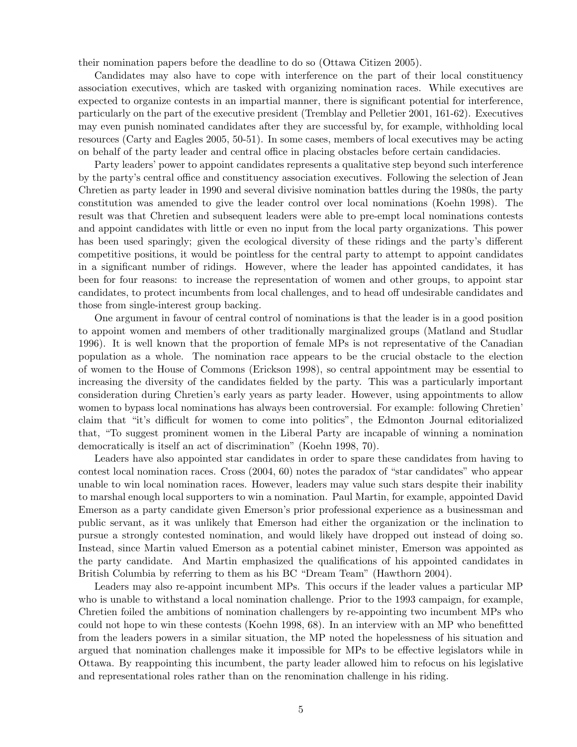their nomination papers before the deadline to do so (Ottawa Citizen 2005).

Candidates may also have to cope with interference on the part of their local constituency association executives, which are tasked with organizing nomination races. While executives are expected to organize contests in an impartial manner, there is significant potential for interference, particularly on the part of the executive president (Tremblay and Pelletier 2001, 161-62). Executives may even punish nominated candidates after they are successful by, for example, withholding local resources (Carty and Eagles 2005, 50-51). In some cases, members of local executives may be acting on behalf of the party leader and central office in placing obstacles before certain candidacies.

Party leaders' power to appoint candidates represents a qualitative step beyond such interference by the party's central office and constituency association executives. Following the selection of Jean Chretien as party leader in 1990 and several divisive nomination battles during the 1980s, the party constitution was amended to give the leader control over local nominations (Koehn 1998). The result was that Chretien and subsequent leaders were able to pre-empt local nominations contests and appoint candidates with little or even no input from the local party organizations. This power has been used sparingly; given the ecological diversity of these ridings and the party's different competitive positions, it would be pointless for the central party to attempt to appoint candidates in a significant number of ridings. However, where the leader has appointed candidates, it has been for four reasons: to increase the representation of women and other groups, to appoint star candidates, to protect incumbents from local challenges, and to head off undesirable candidates and those from single-interest group backing.

One argument in favour of central control of nominations is that the leader is in a good position to appoint women and members of other traditionally marginalized groups (Matland and Studlar 1996). It is well known that the proportion of female MPs is not representative of the Canadian population as a whole. The nomination race appears to be the crucial obstacle to the election of women to the House of Commons (Erickson 1998), so central appointment may be essential to increasing the diversity of the candidates fielded by the party. This was a particularly important consideration during Chretien's early years as party leader. However, using appointments to allow women to bypass local nominations has always been controversial. For example: following Chretien' claim that "it's difficult for women to come into politics", the Edmonton Journal editorialized that, "To suggest prominent women in the Liberal Party are incapable of winning a nomination democratically is itself an act of discrimination" (Koehn 1998, 70).

Leaders have also appointed star candidates in order to spare these candidates from having to contest local nomination races. Cross (2004, 60) notes the paradox of "star candidates" who appear unable to win local nomination races. However, leaders may value such stars despite their inability to marshal enough local supporters to win a nomination. Paul Martin, for example, appointed David Emerson as a party candidate given Emerson's prior professional experience as a businessman and public servant, as it was unlikely that Emerson had either the organization or the inclination to pursue a strongly contested nomination, and would likely have dropped out instead of doing so. Instead, since Martin valued Emerson as a potential cabinet minister, Emerson was appointed as the party candidate. And Martin emphasized the qualifications of his appointed candidates in British Columbia by referring to them as his BC "Dream Team" (Hawthorn 2004).

Leaders may also re-appoint incumbent MPs. This occurs if the leader values a particular MP who is unable to withstand a local nomination challenge. Prior to the 1993 campaign, for example, Chretien foiled the ambitions of nomination challengers by re-appointing two incumbent MPs who could not hope to win these contests (Koehn 1998, 68). In an interview with an MP who benefitted from the leaders powers in a similar situation, the MP noted the hopelessness of his situation and argued that nomination challenges make it impossible for MPs to be effective legislators while in Ottawa. By reappointing this incumbent, the party leader allowed him to refocus on his legislative and representational roles rather than on the renomination challenge in his riding.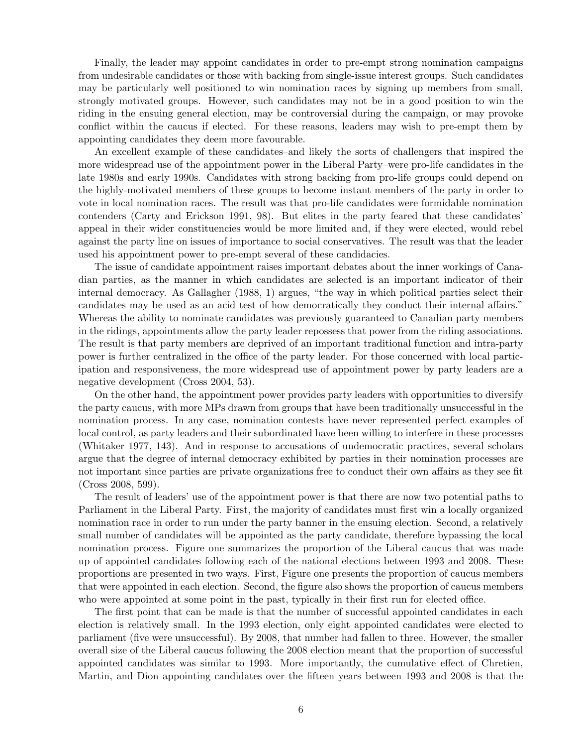Finally, the leader may appoint candidates in order to pre-empt strong nomination campaigns from undesirable candidates or those with backing from single-issue interest groups. Such candidates may be particularly well positioned to win nomination races by signing up members from small, strongly motivated groups. However, such candidates may not be in a good position to win the riding in the ensuing general election, may be controversial during the campaign, or may provoke conflict within the caucus if elected. For these reasons, leaders may wish to pre-empt them by appointing candidates they deem more favourable.

An excellent example of these candidates–and likely the sorts of challengers that inspired the more widespread use of the appointment power in the Liberal Party–were pro-life candidates in the late 1980s and early 1990s. Candidates with strong backing from pro-life groups could depend on the highly-motivated members of these groups to become instant members of the party in order to vote in local nomination races. The result was that pro-life candidates were formidable nomination contenders (Carty and Erickson 1991, 98). But elites in the party feared that these candidates' appeal in their wider constituencies would be more limited and, if they were elected, would rebel against the party line on issues of importance to social conservatives. The result was that the leader used his appointment power to pre-empt several of these candidacies.

The issue of candidate appointment raises important debates about the inner workings of Canadian parties, as the manner in which candidates are selected is an important indicator of their internal democracy. As Gallagher (1988, 1) argues, "the way in which political parties select their candidates may be used as an acid test of how democratically they conduct their internal affairs." Whereas the ability to nominate candidates was previously guaranteed to Canadian party members in the ridings, appointments allow the party leader repossess that power from the riding associations. The result is that party members are deprived of an important traditional function and intra-party power is further centralized in the office of the party leader. For those concerned with local participation and responsiveness, the more widespread use of appointment power by party leaders are a negative development (Cross 2004, 53).

On the other hand, the appointment power provides party leaders with opportunities to diversify the party caucus, with more MPs drawn from groups that have been traditionally unsuccessful in the nomination process. In any case, nomination contests have never represented perfect examples of local control, as party leaders and their subordinated have been willing to interfere in these processes (Whitaker 1977, 143). And in response to accusations of undemocratic practices, several scholars argue that the degree of internal democracy exhibited by parties in their nomination processes are not important since parties are private organizations free to conduct their own affairs as they see fit (Cross 2008, 599).

The result of leaders' use of the appointment power is that there are now two potential paths to Parliament in the Liberal Party. First, the majority of candidates must first win a locally organized nomination race in order to run under the party banner in the ensuing election. Second, a relatively small number of candidates will be appointed as the party candidate, therefore bypassing the local nomination process. Figure one summarizes the proportion of the Liberal caucus that was made up of appointed candidates following each of the national elections between 1993 and 2008. These proportions are presented in two ways. First, Figure one presents the proportion of caucus members that were appointed in each election. Second, the figure also shows the proportion of caucus members who were appointed at some point in the past, typically in their first run for elected office.

The first point that can be made is that the number of successful appointed candidates in each election is relatively small. In the 1993 election, only eight appointed candidates were elected to parliament (five were unsuccessful). By 2008, that number had fallen to three. However, the smaller overall size of the Liberal caucus following the 2008 election meant that the proportion of successful appointed candidates was similar to 1993. More importantly, the cumulative effect of Chretien, Martin, and Dion appointing candidates over the fifteen years between 1993 and 2008 is that the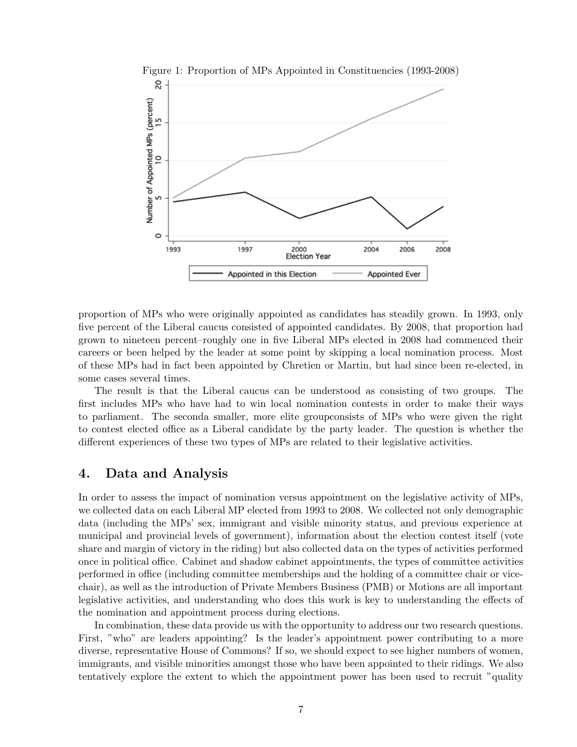

Figure 1: Proportion of MPs Appointed in Constituencies (1993-2008)

proportion of MPs who were originally appointed as candidates has steadily grown. In 1993, only five percent of the Liberal caucus consisted of appointed candidates. By 2008, that proportion had grown to nineteen percent–roughly one in five Liberal MPs elected in 2008 had commenced their careers or been helped by the leader at some point by skipping a local nomination process. Most of these MPs had in fact been appointed by Chretien or Martin, but had since been re-elected, in some cases several times.

The result is that the Liberal caucus can be understood as consisting of two groups. The first includes MPs who have had to win local nomination contests in order to make their ways to parliament. The seconda smaller, more elite groupconsists of MPs who were given the right to contest elected office as a Liberal candidate by the party leader. The question is whether the different experiences of these two types of MPs are related to their legislative activities.

# 4. Data and Analysis

In order to assess the impact of nomination versus appointment on the legislative activity of MPs, we collected data on each Liberal MP elected from 1993 to 2008. We collected not only demographic data (including the MPs' sex, immigrant and visible minority status, and previous experience at municipal and provincial levels of government), information about the election contest itself (vote share and margin of victory in the riding) but also collected data on the types of activities performed once in political office. Cabinet and shadow cabinet appointments, the types of committee activities performed in office (including committee memberships and the holding of a committee chair or vicechair), as well as the introduction of Private Members Business (PMB) or Motions are all important legislative activities, and understanding who does this work is key to understanding the effects of the nomination and appointment process during elections.

In combination, these data provide us with the opportunity to address our two research questions. First, "who" are leaders appointing? Is the leader's appointment power contributing to a more diverse, representative House of Commons? If so, we should expect to see higher numbers of women, immigrants, and visible minorities amongst those who have been appointed to their ridings. We also tentatively explore the extent to which the appointment power has been used to recruit "quality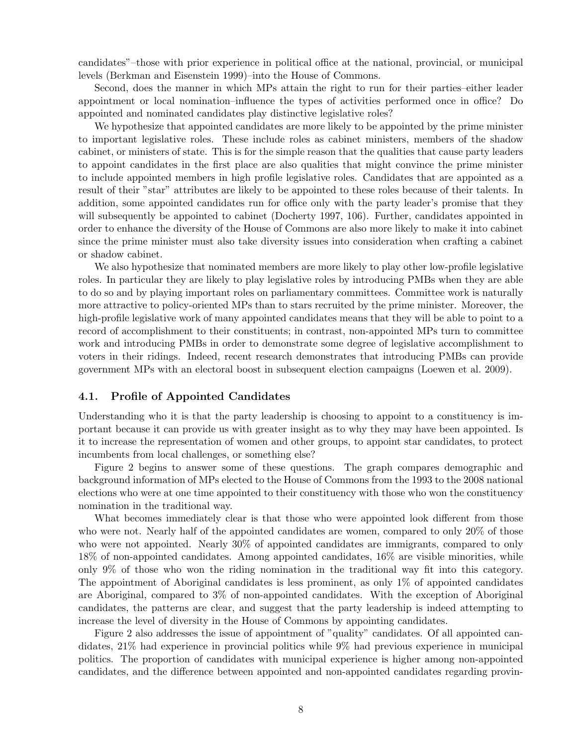candidates"–those with prior experience in political office at the national, provincial, or municipal levels (Berkman and Eisenstein 1999)–into the House of Commons.

Second, does the manner in which MPs attain the right to run for their parties–either leader appointment or local nomination–influence the types of activities performed once in office? Do appointed and nominated candidates play distinctive legislative roles?

We hypothesize that appointed candidates are more likely to be appointed by the prime minister to important legislative roles. These include roles as cabinet ministers, members of the shadow cabinet, or ministers of state. This is for the simple reason that the qualities that cause party leaders to appoint candidates in the first place are also qualities that might convince the prime minister to include appointed members in high profile legislative roles. Candidates that are appointed as a result of their "star" attributes are likely to be appointed to these roles because of their talents. In addition, some appointed candidates run for office only with the party leader's promise that they will subsequently be appointed to cabinet (Docherty 1997, 106). Further, candidates appointed in order to enhance the diversity of the House of Commons are also more likely to make it into cabinet since the prime minister must also take diversity issues into consideration when crafting a cabinet or shadow cabinet.

We also hypothesize that nominated members are more likely to play other low-profile legislative roles. In particular they are likely to play legislative roles by introducing PMBs when they are able to do so and by playing important roles on parliamentary committees. Committee work is naturally more attractive to policy-oriented MPs than to stars recruited by the prime minister. Moreover, the high-profile legislative work of many appointed candidates means that they will be able to point to a record of accomplishment to their constituents; in contrast, non-appointed MPs turn to committee work and introducing PMBs in order to demonstrate some degree of legislative accomplishment to voters in their ridings. Indeed, recent research demonstrates that introducing PMBs can provide government MPs with an electoral boost in subsequent election campaigns (Loewen et al. 2009).

#### 4.1. Profile of Appointed Candidates

Understanding who it is that the party leadership is choosing to appoint to a constituency is important because it can provide us with greater insight as to why they may have been appointed. Is it to increase the representation of women and other groups, to appoint star candidates, to protect incumbents from local challenges, or something else?

Figure 2 begins to answer some of these questions. The graph compares demographic and background information of MPs elected to the House of Commons from the 1993 to the 2008 national elections who were at one time appointed to their constituency with those who won the constituency nomination in the traditional way.

What becomes immediately clear is that those who were appointed look different from those who were not. Nearly half of the appointed candidates are women, compared to only 20% of those who were not appointed. Nearly 30% of appointed candidates are immigrants, compared to only 18% of non-appointed candidates. Among appointed candidates, 16% are visible minorities, while only 9% of those who won the riding nomination in the traditional way fit into this category. The appointment of Aboriginal candidates is less prominent, as only 1% of appointed candidates are Aboriginal, compared to 3% of non-appointed candidates. With the exception of Aboriginal candidates, the patterns are clear, and suggest that the party leadership is indeed attempting to increase the level of diversity in the House of Commons by appointing candidates.

Figure 2 also addresses the issue of appointment of "quality" candidates. Of all appointed candidates, 21% had experience in provincial politics while 9% had previous experience in municipal politics. The proportion of candidates with municipal experience is higher among non-appointed candidates, and the difference between appointed and non-appointed candidates regarding provin-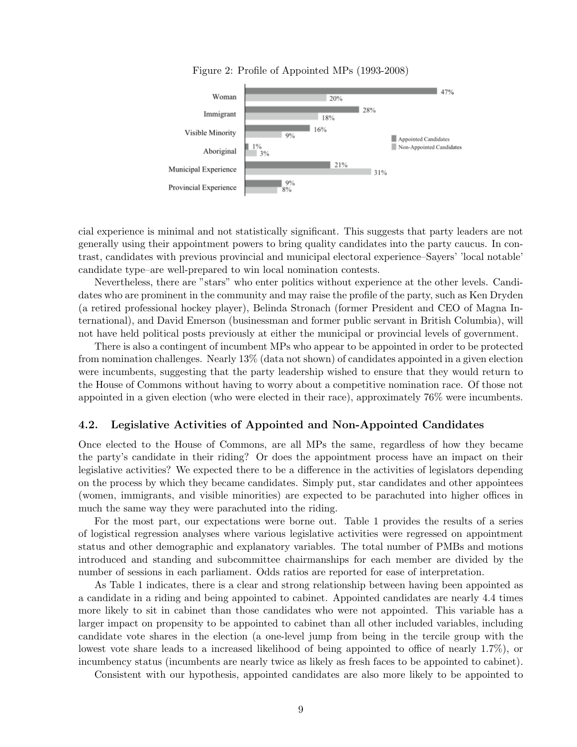

Figure 2: Profile of Appointed MPs (1993-2008)

cial experience is minimal and not statistically significant. This suggests that party leaders are not generally using their appointment powers to bring quality candidates into the party caucus. In contrast, candidates with previous provincial and municipal electoral experience–Sayers' 'local notable' candidate type–are well-prepared to win local nomination contests.

Nevertheless, there are "stars" who enter politics without experience at the other levels. Candidates who are prominent in the community and may raise the profile of the party, such as Ken Dryden (a retired professional hockey player), Belinda Stronach (former President and CEO of Magna International), and David Emerson (businessman and former public servant in British Columbia), will not have held political posts previously at either the municipal or provincial levels of government.

There is also a contingent of incumbent MPs who appear to be appointed in order to be protected from nomination challenges. Nearly 13% (data not shown) of candidates appointed in a given election were incumbents, suggesting that the party leadership wished to ensure that they would return to the House of Commons without having to worry about a competitive nomination race. Of those not appointed in a given election (who were elected in their race), approximately 76% were incumbents.

#### 4.2. Legislative Activities of Appointed and Non-Appointed Candidates

Once elected to the House of Commons, are all MPs the same, regardless of how they became the party's candidate in their riding? Or does the appointment process have an impact on their legislative activities? We expected there to be a difference in the activities of legislators depending on the process by which they became candidates. Simply put, star candidates and other appointees (women, immigrants, and visible minorities) are expected to be parachuted into higher offices in much the same way they were parachuted into the riding.

For the most part, our expectations were borne out. Table 1 provides the results of a series of logistical regression analyses where various legislative activities were regressed on appointment status and other demographic and explanatory variables. The total number of PMBs and motions introduced and standing and subcommittee chairmanships for each member are divided by the number of sessions in each parliament. Odds ratios are reported for ease of interpretation.

As Table 1 indicates, there is a clear and strong relationship between having been appointed as a candidate in a riding and being appointed to cabinet. Appointed candidates are nearly 4.4 times more likely to sit in cabinet than those candidates who were not appointed. This variable has a larger impact on propensity to be appointed to cabinet than all other included variables, including candidate vote shares in the election (a one-level jump from being in the tercile group with the lowest vote share leads to a increased likelihood of being appointed to office of nearly 1.7%), or incumbency status (incumbents are nearly twice as likely as fresh faces to be appointed to cabinet).

Consistent with our hypothesis, appointed candidates are also more likely to be appointed to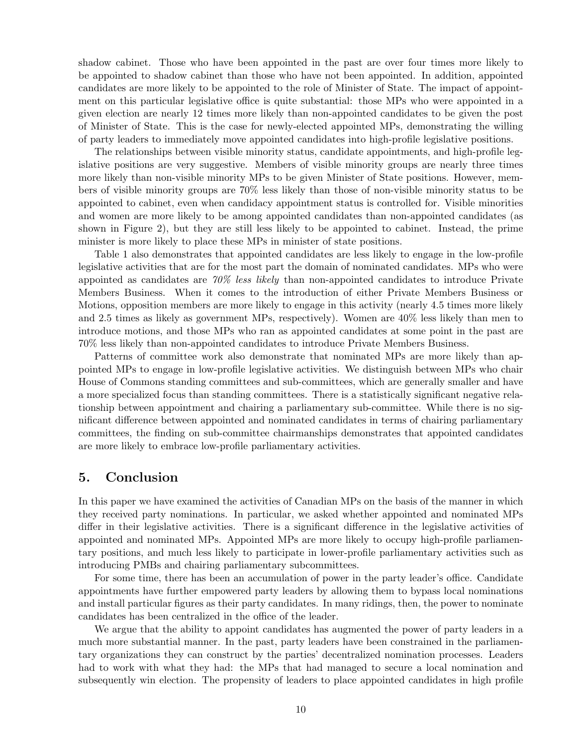shadow cabinet. Those who have been appointed in the past are over four times more likely to be appointed to shadow cabinet than those who have not been appointed. In addition, appointed candidates are more likely to be appointed to the role of Minister of State. The impact of appointment on this particular legislative office is quite substantial: those MPs who were appointed in a given election are nearly 12 times more likely than non-appointed candidates to be given the post of Minister of State. This is the case for newly-elected appointed MPs, demonstrating the willing of party leaders to immediately move appointed candidates into high-profile legislative positions.

The relationships between visible minority status, candidate appointments, and high-profile legislative positions are very suggestive. Members of visible minority groups are nearly three times more likely than non-visible minority MPs to be given Minister of State positions. However, members of visible minority groups are 70% less likely than those of non-visible minority status to be appointed to cabinet, even when candidacy appointment status is controlled for. Visible minorities and women are more likely to be among appointed candidates than non-appointed candidates (as shown in Figure 2), but they are still less likely to be appointed to cabinet. Instead, the prime minister is more likely to place these MPs in minister of state positions.

Table 1 also demonstrates that appointed candidates are less likely to engage in the low-profile legislative activities that are for the most part the domain of nominated candidates. MPs who were appointed as candidates are  $70\%$  less likely than non-appointed candidates to introduce Private Members Business. When it comes to the introduction of either Private Members Business or Motions, opposition members are more likely to engage in this activity (nearly 4.5 times more likely and 2.5 times as likely as government MPs, respectively). Women are 40% less likely than men to introduce motions, and those MPs who ran as appointed candidates at some point in the past are 70% less likely than non-appointed candidates to introduce Private Members Business.

Patterns of committee work also demonstrate that nominated MPs are more likely than appointed MPs to engage in low-profile legislative activities. We distinguish between MPs who chair House of Commons standing committees and sub-committees, which are generally smaller and have a more specialized focus than standing committees. There is a statistically significant negative relationship between appointment and chairing a parliamentary sub-committee. While there is no significant difference between appointed and nominated candidates in terms of chairing parliamentary committees, the finding on sub-committee chairmanships demonstrates that appointed candidates are more likely to embrace low-profile parliamentary activities.

#### 5. Conclusion

In this paper we have examined the activities of Canadian MPs on the basis of the manner in which they received party nominations. In particular, we asked whether appointed and nominated MPs differ in their legislative activities. There is a significant difference in the legislative activities of appointed and nominated MPs. Appointed MPs are more likely to occupy high-profile parliamentary positions, and much less likely to participate in lower-profile parliamentary activities such as introducing PMBs and chairing parliamentary subcommittees.

For some time, there has been an accumulation of power in the party leader's office. Candidate appointments have further empowered party leaders by allowing them to bypass local nominations and install particular figures as their party candidates. In many ridings, then, the power to nominate candidates has been centralized in the office of the leader.

We argue that the ability to appoint candidates has augmented the power of party leaders in a much more substantial manner. In the past, party leaders have been constrained in the parliamentary organizations they can construct by the parties' decentralized nomination processes. Leaders had to work with what they had: the MPs that had managed to secure a local nomination and subsequently win election. The propensity of leaders to place appointed candidates in high profile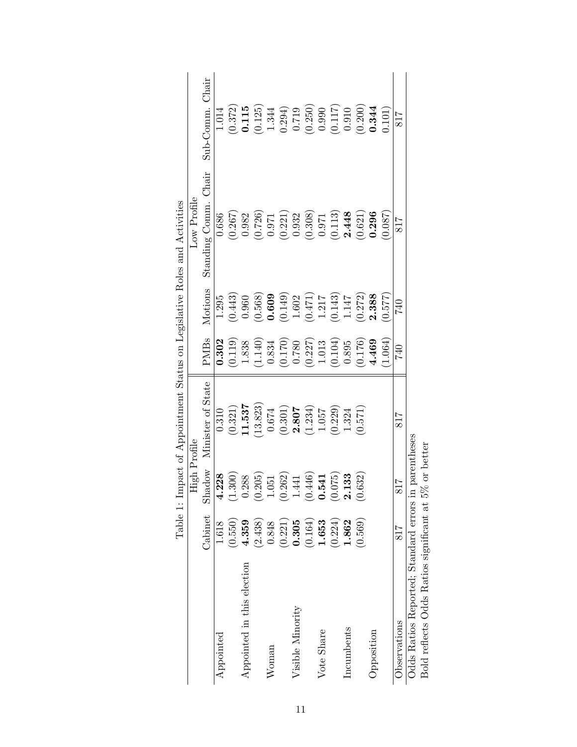|                                                       |         |                           | Table 1: Impact of Appointment Status on Legislative Roles and Activities |                                                 |                                                 |                                                 |                                                   |
|-------------------------------------------------------|---------|---------------------------|---------------------------------------------------------------------------|-------------------------------------------------|-------------------------------------------------|-------------------------------------------------|---------------------------------------------------|
|                                                       |         | High Profile              |                                                                           |                                                 |                                                 | Low Profile                                     |                                                   |
|                                                       | Cabinet | Shadow                    | Minister of State                                                         | <b>PMBs</b>                                     | Motions                                         | Standing Comm. Chair                            | Sub-Comm. Chair                                   |
| Appointed                                             | 1.618   | 4.228                     | 0.310                                                                     | 0.302                                           | 1.295                                           | 0.686                                           | 1.014                                             |
|                                                       | (0.550) | (1.300)                   | (0.321)                                                                   | (0.119)                                         | (0.443)                                         | (0.267)                                         | $\begin{array}{c} (0.372) \\ 0.115 \end{array}$   |
| Appointed in this election                            | 4.359   | 0.288                     | 11.537                                                                    | 1.838                                           | 0.960                                           | 0.982                                           |                                                   |
|                                                       | (2.438) | (0.205)                   | (13.823)                                                                  | (1.140)                                         | (0.568)                                         |                                                 | $\begin{array}{c} (0.125) \\ 1.344 \end{array}$   |
| Woman                                                 | 0.848   | 1.051                     | $0.674\,$                                                                 | 0.834                                           | 0.609                                           | $\begin{array}{c} (0.726) \\ 0.971 \end{array}$ |                                                   |
|                                                       | (0.221) | (0.262)                   |                                                                           | $\begin{array}{c} (0.170) \\ 0.780 \end{array}$ | (0.149)                                         | (0.221)                                         | 0.294)                                            |
| Visible Minority                                      | 0.305   | 1.441                     | $(0.301)$<br>2.807                                                        |                                                 | $1.602$                                         | 0.932                                           | 0.719                                             |
|                                                       | (0.164) | (0.446)                   | (1.234)                                                                   | $\left(0.227\right)$ $1.013$                    | $\begin{array}{c} (0.471) \\ 1.217 \end{array}$ | (0.308)                                         | $\begin{array}{c} (0.250) \\ 0.990 \end{array}$   |
| Vote Share                                            | 1.653   | 0.541                     | $1.057\,$                                                                 |                                                 |                                                 | 0.971                                           |                                                   |
|                                                       | (0.224) | (52)<br>$\rm \bar{\odot}$ | (0.229)                                                                   | (0.104)                                         | $(0.143)$<br>1.147                              | (0.113)                                         | $\begin{array}{c} (0.117) \\ (711.0) \end{array}$ |
| Incumbents                                            | 1.862   | 133                       | 1.324                                                                     | $0.895\,$                                       |                                                 | 2.448                                           |                                                   |
|                                                       | (0.569) | 632)<br>$\ddot{0}$ .      | (0.571)                                                                   | (0.176)                                         | (0.272)                                         | (0.621)                                         | (0.200)                                           |
| Opposition                                            |         |                           |                                                                           | 4.469                                           | 2.388                                           | 0.296                                           | 0.344                                             |
|                                                       |         |                           |                                                                           | 1.064)                                          | (0.577)                                         | (780.0)                                         | 0.101)                                            |
| Observations                                          | 817     | 817                       | 817                                                                       | 740                                             | 740                                             | 817                                             | 817                                               |
| Odds Ratios Reported; Standard errors in              |         |                           | parentheses                                                               |                                                 |                                                 |                                                 |                                                   |
| Bold reflects Odds Ratios significant at 5% or better |         |                           |                                                                           |                                                 |                                                 |                                                 |                                                   |

| Impact of Appointment Status on Legislative Roles and Activities | .<br>أ        |
|------------------------------------------------------------------|---------------|
|                                                                  |               |
|                                                                  |               |
| $\sim$ $\cdots$                                                  | $\frac{1}{2}$ |
| .<br>.<br>Table 1<br>$\frac{1}{2}$                               |               |

11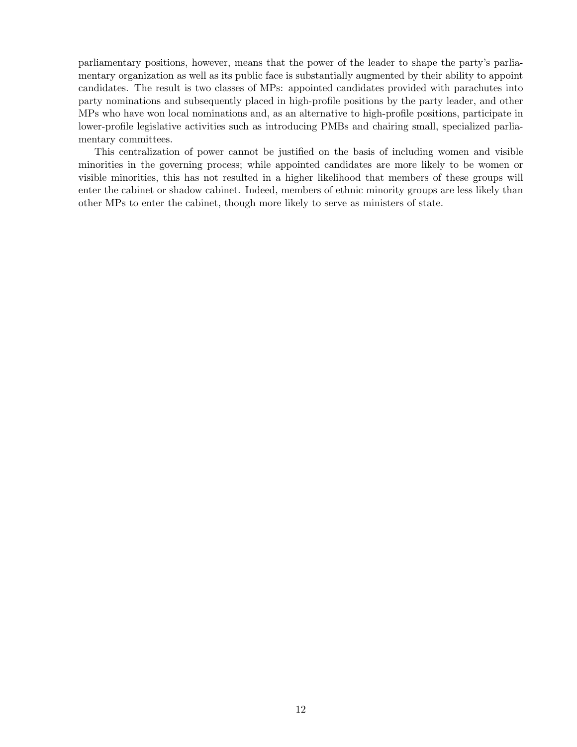parliamentary positions, however, means that the power of the leader to shape the party's parliamentary organization as well as its public face is substantially augmented by their ability to appoint candidates. The result is two classes of MPs: appointed candidates provided with parachutes into party nominations and subsequently placed in high-profile positions by the party leader, and other MPs who have won local nominations and, as an alternative to high-profile positions, participate in lower-profile legislative activities such as introducing PMBs and chairing small, specialized parliamentary committees.

This centralization of power cannot be justified on the basis of including women and visible minorities in the governing process; while appointed candidates are more likely to be women or visible minorities, this has not resulted in a higher likelihood that members of these groups will enter the cabinet or shadow cabinet. Indeed, members of ethnic minority groups are less likely than other MPs to enter the cabinet, though more likely to serve as ministers of state.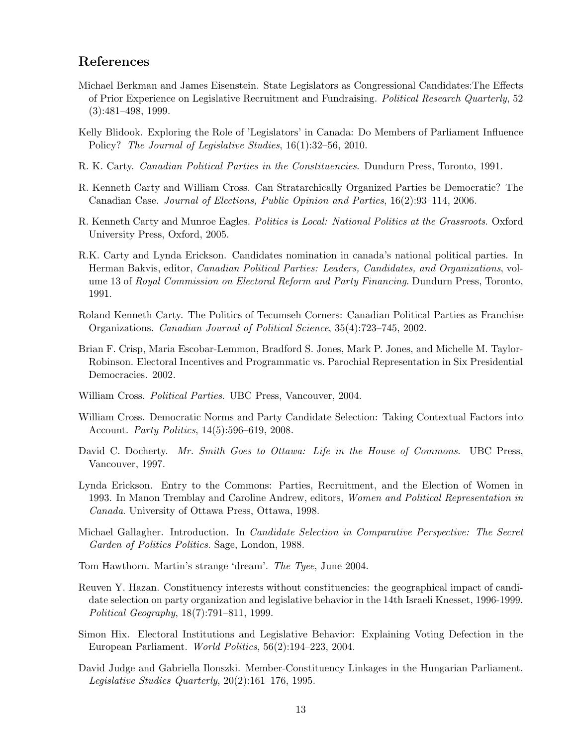# References

- Michael Berkman and James Eisenstein. State Legislators as Congressional Candidates:The Effects of Prior Experience on Legislative Recruitment and Fundraising. Political Research Quarterly, 52 (3):481–498, 1999.
- Kelly Blidook. Exploring the Role of 'Legislators' in Canada: Do Members of Parliament Influence Policy? The Journal of Legislative Studies, 16(1):32–56, 2010.
- R. K. Carty. Canadian Political Parties in the Constituencies. Dundurn Press, Toronto, 1991.
- R. Kenneth Carty and William Cross. Can Stratarchically Organized Parties be Democratic? The Canadian Case. Journal of Elections, Public Opinion and Parties, 16(2):93–114, 2006.
- R. Kenneth Carty and Munroe Eagles. Politics is Local: National Politics at the Grassroots. Oxford University Press, Oxford, 2005.
- R.K. Carty and Lynda Erickson. Candidates nomination in canada's national political parties. In Herman Bakvis, editor, Canadian Political Parties: Leaders, Candidates, and Organizations, volume 13 of Royal Commission on Electoral Reform and Party Financing. Dundurn Press, Toronto, 1991.
- Roland Kenneth Carty. The Politics of Tecumseh Corners: Canadian Political Parties as Franchise Organizations. Canadian Journal of Political Science, 35(4):723–745, 2002.
- Brian F. Crisp, Maria Escobar-Lemmon, Bradford S. Jones, Mark P. Jones, and Michelle M. Taylor-Robinson. Electoral Incentives and Programmatic vs. Parochial Representation in Six Presidential Democracies. 2002.
- William Cross. *Political Parties*. UBC Press, Vancouver, 2004.
- William Cross. Democratic Norms and Party Candidate Selection: Taking Contextual Factors into Account. Party Politics, 14(5):596–619, 2008.
- David C. Docherty. Mr. Smith Goes to Ottawa: Life in the House of Commons. UBC Press, Vancouver, 1997.
- Lynda Erickson. Entry to the Commons: Parties, Recruitment, and the Election of Women in 1993. In Manon Tremblay and Caroline Andrew, editors, Women and Political Representation in Canada. University of Ottawa Press, Ottawa, 1998.
- Michael Gallagher. Introduction. In *Candidate Selection in Comparative Perspective: The Secret* Garden of Politics Politics. Sage, London, 1988.
- Tom Hawthorn. Martin's strange 'dream'. The Tyee, June 2004.
- Reuven Y. Hazan. Constituency interests without constituencies: the geographical impact of candidate selection on party organization and legislative behavior in the 14th Israeli Knesset, 1996-1999. Political Geography, 18(7):791–811, 1999.
- Simon Hix. Electoral Institutions and Legislative Behavior: Explaining Voting Defection in the European Parliament. World Politics, 56(2):194–223, 2004.
- David Judge and Gabriella Ilonszki. Member-Constituency Linkages in the Hungarian Parliament. Legislative Studies Quarterly, 20(2):161–176, 1995.